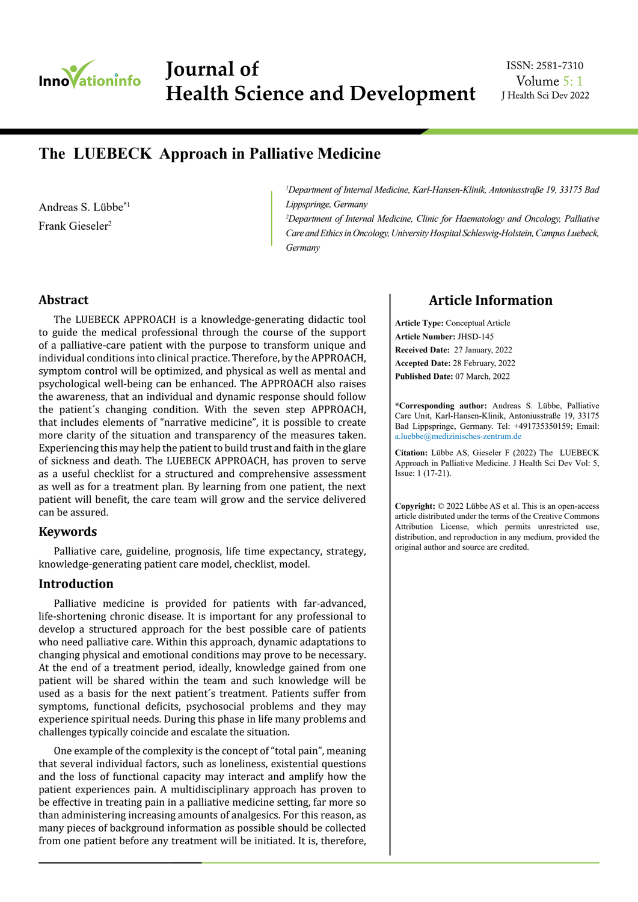

**Journal of Applied Microbiological Research Journal of Health Science and Development** Volume 5: 1

J Health Sci Dev 2022 ISSN: 2581-7310

# **The LUEBECK Approach in Palliative Medicine**

Andreas S. Lübbe\*1 Frank Gieseler<sup>2</sup>

*1 Department of Internal Medicine, Karl-Hansen-Klinik, Antoniusstraße 19, 33175 Bad Lippspringe, Germany*

<sup>2</sup>Department of Internal Medicine, Clinic for Haematology and Oncology, Palliative *Care and Ethics in Oncology, University Hospital Schleswig-Holstein, Campus Luebeck, Germany*

#### **Abstract**

The LUEBECK APPROACH is a knowledge-generating didactic tool to guide the medical professional through the course of the support of a palliative-care patient with the purpose to transform unique and individual conditions into clinical practice. Therefore, by the APPROACH, symptom control will be optimized, and physical as well as mental and psychological well-being can be enhanced. The APPROACH also raises the awareness, that an individual and dynamic response should follow the patient´s changing condition. With the seven step APPROACH, that includes elements of "narrative medicine", it is possible to create more clarity of the situation and transparency of the measures taken. Experiencing this may help the patient to build trust and faith in the glare of sickness and death. The LUEBECK APPROACH, has proven to serve as a useful checklist for a structured and comprehensive assessment as well as for a treatment plan. By learning from one patient, the next patient will benefit, the care team will grow and the service delivered can be assured.

#### **Keywords**

Palliative care, guideline, prognosis, life time expectancy, strategy, knowledge-generating patient care model, checklist, model.

### **Introduction**

Palliative medicine is provided for patients with far-advanced, life-shortening chronic disease. It is important for any professional to develop a structured approach for the best possible care of patients who need palliative care. Within this approach, dynamic adaptations to changing physical and emotional conditions may prove to be necessary. At the end of a treatment period, ideally, knowledge gained from one patient will be shared within the team and such knowledge will be used as a basis for the next patient´s treatment. Patients suffer from symptoms, functional deficits, psychosocial problems and they may experience spiritual needs. During this phase in life many problems and challenges typically coincide and escalate the situation.

One example of the complexity is the concept of "total pain", meaning that several individual factors, such as loneliness, existential questions and the loss of functional capacity may interact and amplify how the patient experiences pain. A multidisciplinary approach has proven to be effective in treating pain in a palliative medicine setting, far more so than administering increasing amounts of analgesics. For this reason, as many pieces of background information as possible should be collected from one patient before any treatment will be initiated. It is, therefore,

# **Article Information**

**Article Type:** Conceptual Article **Article Number:** JHSD-145 **Received Date:** 27 January, 2022 **Accepted Date:** 28 February, 2022 **Published Date:** 07 March, 2022

**\*Corresponding author:** Andreas S. Lübbe, Palliative Care Unit, Karl-Hansen-Klinik, Antoniusstraße 19, 33175 Bad Lippspringe, Germany. Tel: +491735350159; Email: a.luebbe@medizinisches-zentrum.de

**Citation:** Lübbe AS, Gieseler F (2022) The LUEBECK Approach in Palliative Medicine. J Health Sci Dev Vol: 5, Issue: 1 (17-21).

**Copyright:** © 2022 Lübbe AS et al. This is an open-access article distributed under the terms of the Creative Commons Attribution License, which permits unrestricted use, distribution, and reproduction in any medium, provided the original author and source are credited.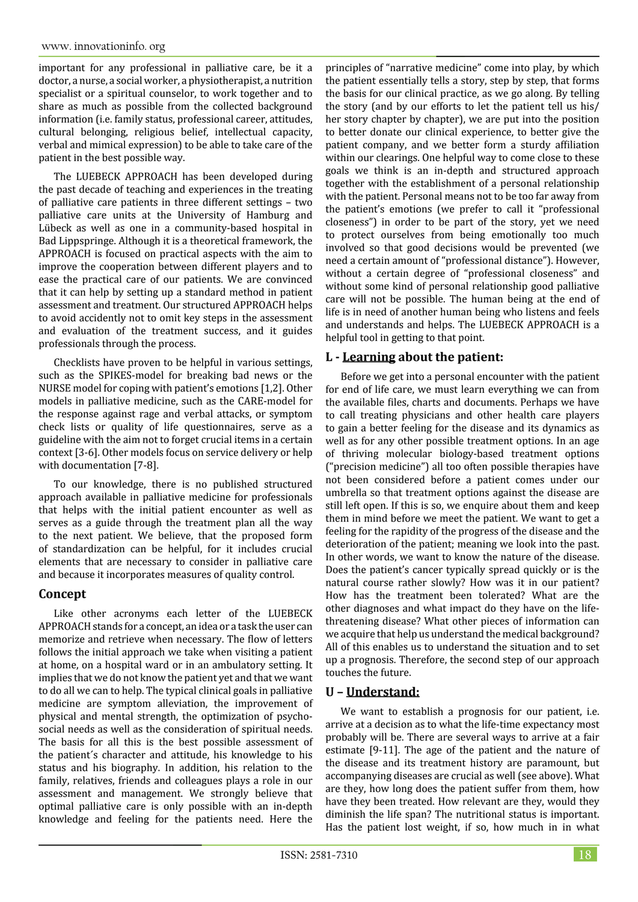important for any professional in palliative care, be it a doctor, a nurse, a social worker, a physiotherapist, a nutrition specialist or a spiritual counselor, to work together and to share as much as possible from the collected background information (i.e. family status, professional career, attitudes, cultural belonging, religious belief, intellectual capacity, verbal and mimical expression) to be able to take care of the patient in the best possible way.

The LUEBECK APPROACH has been developed during the past decade of teaching and experiences in the treating of palliative care patients in three different settings – two palliative care units at the University of Hamburg and Lübeck as well as one in a community-based hospital in Bad Lippspringe. Although it is a theoretical framework, the APPROACH is focused on practical aspects with the aim to improve the cooperation between different players and to ease the practical care of our patients. We are convinced that it can help by setting up a standard method in patient assessment and treatment. Our structured APPROACH helps to avoid accidently not to omit key steps in the assessment and evaluation of the treatment success, and it guides professionals through the process.

Checklists have proven to be helpful in various settings, such as the SPIKES-model for breaking bad news or the NURSE model for coping with patient's emotions [1,2]. Other models in palliative medicine, such as the CARE-model for the response against rage and verbal attacks, or symptom check lists or quality of life questionnaires, serve as a guideline with the aim not to forget crucial items in a certain context [3-6]. Other models focus on service delivery or help with documentation [7-8].

To our knowledge, there is no published structured approach available in palliative medicine for professionals that helps with the initial patient encounter as well as serves as a guide through the treatment plan all the way to the next patient. We believe, that the proposed form of standardization can be helpful, for it includes crucial elements that are necessary to consider in palliative care and because it incorporates measures of quality control.

# **Concept**

Like other acronyms each letter of the LUEBECK APPROACH stands for a concept, an idea or a task the user can memorize and retrieve when necessary. The flow of letters follows the initial approach we take when visiting a patient at home, on a hospital ward or in an ambulatory setting. It implies that we do not know the patient yet and that we want to do all we can to help. The typical clinical goals in palliative medicine are symptom alleviation, the improvement of physical and mental strength, the optimization of psychosocial needs as well as the consideration of spiritual needs. The basis for all this is the best possible assessment of the patient´s character and attitude, his knowledge to his status and his biography. In addition, his relation to the family, relatives, friends and colleagues plays a role in our assessment and management. We strongly believe that optimal palliative care is only possible with an in-depth knowledge and feeling for the patients need. Here the

principles of "narrative medicine" come into play, by which the patient essentially tells a story, step by step, that forms the basis for our clinical practice, as we go along. By telling the story (and by our efforts to let the patient tell us his/ her story chapter by chapter), we are put into the position to better donate our clinical experience, to better give the patient company, and we better form a sturdy affiliation within our clearings. One helpful way to come close to these goals we think is an in-depth and structured approach together with the establishment of a personal relationship with the patient. Personal means not to be too far away from the patient's emotions (we prefer to call it "professional closeness") in order to be part of the story, yet we need to protect ourselves from being emotionally too much involved so that good decisions would be prevented (we need a certain amount of "professional distance"). However, without a certain degree of "professional closeness" and without some kind of personal relationship good palliative care will not be possible. The human being at the end of life is in need of another human being who listens and feels and understands and helps. The LUEBECK APPROACH is a helpful tool in getting to that point.

# **L - Learning about the patient:**

Before we get into a personal encounter with the patient for end of life care, we must learn everything we can from the available files, charts and documents. Perhaps we have to call treating physicians and other health care players to gain a better feeling for the disease and its dynamics as well as for any other possible treatment options. In an age of thriving molecular biology-based treatment options ("precision medicine") all too often possible therapies have not been considered before a patient comes under our umbrella so that treatment options against the disease are still left open. If this is so, we enquire about them and keep them in mind before we meet the patient. We want to get a feeling for the rapidity of the progress of the disease and the deterioration of the patient; meaning we look into the past. In other words, we want to know the nature of the disease. Does the patient's cancer typically spread quickly or is the natural course rather slowly? How was it in our patient? How has the treatment been tolerated? What are the other diagnoses and what impact do they have on the lifethreatening disease? What other pieces of information can we acquire that help us understand the medical background? All of this enables us to understand the situation and to set up a prognosis. Therefore, the second step of our approach touches the future.

### **U – Understand:**

We want to establish a prognosis for our patient, i.e. arrive at a decision as to what the life-time expectancy most probably will be. There are several ways to arrive at a fair estimate [9-11]. The age of the patient and the nature of the disease and its treatment history are paramount, but accompanying diseases are crucial as well (see above). What are they, how long does the patient suffer from them, how have they been treated. How relevant are they, would they diminish the life span? The nutritional status is important. Has the patient lost weight, if so, how much in in what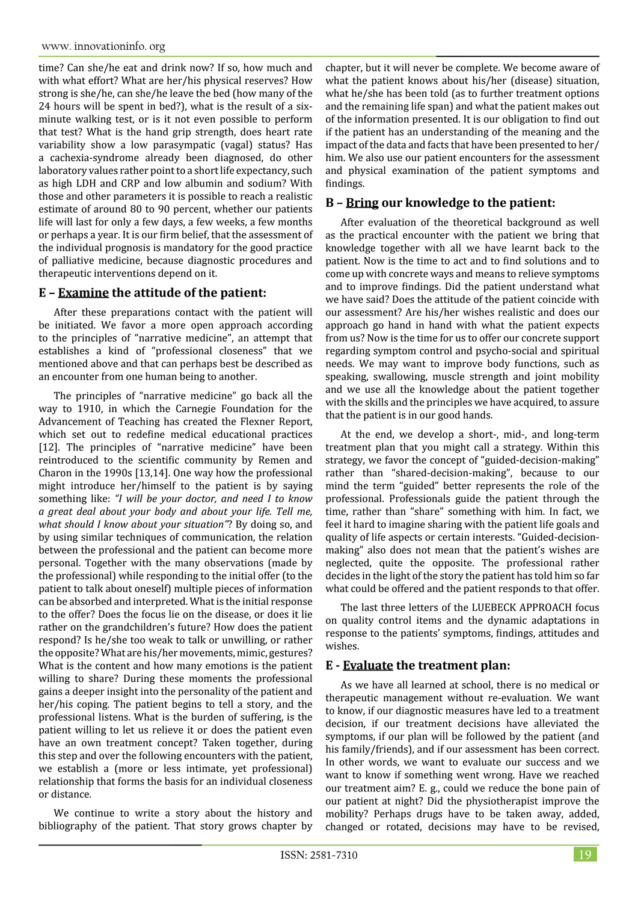time? Can she/he eat and drink now? If so, how much and with what effort? What are her/his physical reserves? How strong is she/he, can she/he leave the bed (how many of the 24 hours will be spent in bed?), what is the result of a sixminute walking test, or is it not even possible to perform that test? What is the hand grip strength, does heart rate variability show a low parasympatic (vagal) status? Has a cachexia-syndrome already been diagnosed, do other laboratory values rather point to a short life expectancy, such as high LDH and CRP and low albumin and sodium? With those and other parameters it is possible to reach a realistic estimate of around 80 to 90 percent, whether our patients life will last for only a few days, a few weeks, a few months or perhaps a year. It is our firm belief, that the assessment of the individual prognosis is mandatory for the good practice of palliative medicine, because diagnostic procedures and therapeutic interventions depend on it.

# **E – Examine the attitude of the patient:**

After these preparations contact with the patient will be initiated. We favor a more open approach according to the principles of "narrative medicine", an attempt that establishes a kind of "professional closeness" that we mentioned above and that can perhaps best be described as an encounter from one human being to another.

The principles of "narrative medicine" go back all the way to 1910, in which the Carnegie Foundation for the Advancement of Teaching has created the Flexner Report, which set out to redefine medical educational practices [12]. The principles of "narrative medicine" have been reintroduced to the scientific community by Remen and Charon in the 1990s [13,14]. One way how the professional might introduce her/himself to the patient is by saying something like: *"I will be your doctor, and need I to know a great deal about your body and about your life. Tell me, what should I know about your situation"*? By doing so, and by using similar techniques of communication, the relation between the professional and the patient can become more personal. Together with the many observations (made by the professional) while responding to the initial offer (to the patient to talk about oneself) multiple pieces of information can be absorbed and interpreted. What is the initial response to the offer? Does the focus lie on the disease, or does it lie rather on the grandchildren's future? How does the patient respond? Is he/she too weak to talk or unwilling, or rather the opposite? What are his/her movements, mimic, gestures? What is the content and how many emotions is the patient willing to share? During these moments the professional gains a deeper insight into the personality of the patient and her/his coping. The patient begins to tell a story, and the professional listens. What is the burden of suffering, is the patient willing to let us relieve it or does the patient even have an own treatment concept? Taken together, during this step and over the following encounters with the patient, we establish a (more or less intimate, yet professional) relationship that forms the basis for an individual closeness or distance.

We continue to write a story about the history and bibliography of the patient. That story grows chapter by chapter, but it will never be complete. We become aware of what the patient knows about his/her (disease) situation, what he/she has been told (as to further treatment options and the remaining life span) and what the patient makes out of the information presented. It is our obligation to find out if the patient has an understanding of the meaning and the impact of the data and facts that have been presented to her/ him. We also use our patient encounters for the assessment and physical examination of the patient symptoms and findings.

#### **B – Bring our knowledge to the patient:**

After evaluation of the theoretical background as well as the practical encounter with the patient we bring that knowledge together with all we have learnt back to the patient. Now is the time to act and to find solutions and to come up with concrete ways and means to relieve symptoms and to improve findings. Did the patient understand what we have said? Does the attitude of the patient coincide with our assessment? Are his/her wishes realistic and does our approach go hand in hand with what the patient expects from us? Now is the time for us to offer our concrete support regarding symptom control and psycho-social and spiritual needs. We may want to improve body functions, such as speaking, swallowing, muscle strength and joint mobility and we use all the knowledge about the patient together with the skills and the principles we have acquired, to assure that the patient is in our good hands.

At the end, we develop a short-, mid-, and long-term treatment plan that you might call a strategy. Within this strategy, we favor the concept of "guided-decision-making" rather than "shared-decision-making", because to our mind the term "guided" better represents the role of the professional. Professionals guide the patient through the time, rather than "share" something with him. In fact, we feel it hard to imagine sharing with the patient life goals and quality of life aspects or certain interests. "Guided-decisionmaking" also does not mean that the patient's wishes are neglected, quite the opposite. The professional rather decides in the light of the story the patient has told him so far what could be offered and the patient responds to that offer.

The last three letters of the LUEBECK APPROACH focus on quality control items and the dynamic adaptations in response to the patients' symptoms, findings, attitudes and wishes.

### **E - Evaluate the treatment plan:**

As we have all learned at school, there is no medical or therapeutic management without re-evaluation. We want to know, if our diagnostic measures have led to a treatment decision, if our treatment decisions have alleviated the symptoms, if our plan will be followed by the patient (and his family/friends), and if our assessment has been correct. In other words, we want to evaluate our success and we want to know if something went wrong. Have we reached our treatment aim? E. g., could we reduce the bone pain of our patient at night? Did the physiotherapist improve the mobility? Perhaps drugs have to be taken away, added, changed or rotated, decisions may have to be revised,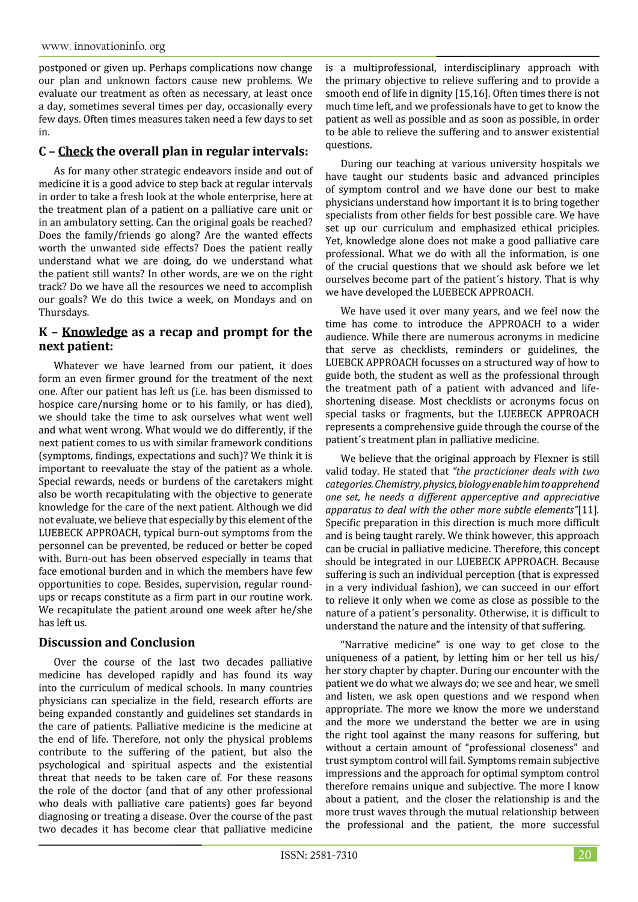postponed or given up. Perhaps complications now change our plan and unknown factors cause new problems. We evaluate our treatment as often as necessary, at least once a day, sometimes several times per day, occasionally every few days. Often times measures taken need a few days to set in.

# **C – Check the overall plan in regular intervals:**

As for many other strategic endeavors inside and out of medicine it is a good advice to step back at regular intervals in order to take a fresh look at the whole enterprise, here at the treatment plan of a patient on a palliative care unit or in an ambulatory setting. Can the original goals be reached? Does the family/friends go along? Are the wanted effects worth the unwanted side effects? Does the patient really understand what we are doing, do we understand what the patient still wants? In other words, are we on the right track? Do we have all the resources we need to accomplish our goals? We do this twice a week, on Mondays and on Thursdays.

# **K – Knowledge as a recap and prompt for the next patient:**

Whatever we have learned from our patient, it does form an even firmer ground for the treatment of the next one. After our patient has left us (i.e. has been dismissed to hospice care/nursing home or to his family, or has died), we should take the time to ask ourselves what went well and what went wrong. What would we do differently, if the next patient comes to us with similar framework conditions (symptoms, findings, expectations and such)? We think it is important to reevaluate the stay of the patient as a whole. Special rewards, needs or burdens of the caretakers might also be worth recapitulating with the objective to generate knowledge for the care of the next patient. Although we did not evaluate, we believe that especially by this element of the LUEBECK APPROACH, typical burn-out symptoms from the personnel can be prevented, be reduced or better be coped with. Burn-out has been observed especially in teams that face emotional burden and in which the members have few opportunities to cope. Besides, supervision, regular roundups or recaps constitute as a firm part in our routine work. We recapitulate the patient around one week after he/she has left us.

### **Discussion and Conclusion**

Over the course of the last two decades palliative medicine has developed rapidly and has found its way into the curriculum of medical schools. In many countries physicians can specialize in the field, research efforts are being expanded constantly and guidelines set standards in the care of patients. Palliative medicine is the medicine at the end of life. Therefore, not only the physical problems contribute to the suffering of the patient, but also the psychological and spiritual aspects and the existential threat that needs to be taken care of. For these reasons the role of the doctor (and that of any other professional who deals with palliative care patients) goes far beyond diagnosing or treating a disease. Over the course of the past two decades it has become clear that palliative medicine

is a multiprofessional, interdisciplinary approach with the primary objective to relieve suffering and to provide a smooth end of life in dignity [15,16]. Often times there is not much time left, and we professionals have to get to know the patient as well as possible and as soon as possible, in order to be able to relieve the suffering and to answer existential questions.

During our teaching at various university hospitals we have taught our students basic and advanced principles of symptom control and we have done our best to make physicians understand how important it is to bring together specialists from other fields for best possible care. We have set up our curriculum and emphasized ethical priciples. Yet, knowledge alone does not make a good palliative care professional. What we do with all the information, is one of the crucial questions that we should ask before we let ourselves become part of the patient´s history. That is why we have developed the LUEBECK APPROACH.

We have used it over many years, and we feel now the time has come to introduce the APPROACH to a wider audience. While there are numerous acronyms in medicine that serve as checklists, reminders or guidelines, the LUEBCK APPROACH focusses on a structured way of how to guide both, the student as well as the professional through the treatment path of a patient with advanced and lifeshortening disease. Most checklists or acronyms focus on special tasks or fragments, but the LUEBECK APPROACH represents a comprehensive guide through the course of the patient´s treatment plan in palliative medicine.

We believe that the original approach by Flexner is still valid today. He stated that *"the practicioner deals with two categories. Chemistry, physics, biology enable him to apprehend one set, he needs a different apperceptive and appreciative apparatus to deal with the other more subtle elements"*[11]*.* Specific preparation in this direction is much more difficult and is being taught rarely. We think however, this approach can be crucial in palliative medicine. Therefore, this concept should be integrated in our LUEBECK APPROACH. Because suffering is such an individual perception (that is expressed in a very individual fashion), we can succeed in our effort to relieve it only when we come as close as possible to the nature of a patient´s personality. Otherwise, it is difficult to understand the nature and the intensity of that suffering.

"Narrative medicine" is one way to get close to the uniqueness of a patient, by letting him or her tell us his/ her story chapter by chapter. During our encounter with the patient we do what we always do; we see and hear, we smell and listen, we ask open questions and we respond when appropriate. The more we know the more we understand and the more we understand the better we are in using the right tool against the many reasons for suffering, but without a certain amount of "professional closeness" and trust symptom control will fail. Symptoms remain subjective impressions and the approach for optimal symptom control therefore remains unique and subjective. The more I know about a patient, and the closer the relationship is and the more trust waves through the mutual relationship between the professional and the patient, the more successful